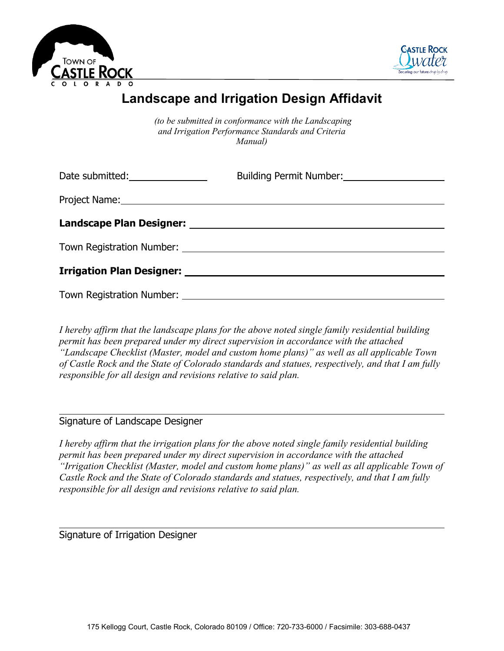



# **Landscape and Irrigation Design Affidavit**

*(to be submitted in conformance with the Landscaping and Irrigation Performance Standards and Criteria Manual)*

| Date submitted: _________________                                                  |  |
|------------------------------------------------------------------------------------|--|
|                                                                                    |  |
|                                                                                    |  |
| Town Registration Number: University of the Community of Town Registration Number: |  |
|                                                                                    |  |
|                                                                                    |  |

*I hereby affirm that the landscape plans for the above noted single family residential building permit has been prepared under my direct supervision in accordance with the attached "Landscape Checklist (Master, model and custom home plans)" as well as all applicable Town of Castle Rock and the State of Colorado standards and statues, respectively, and that I am fully responsible for all design and revisions relative to said plan.*

#### Signature of Landscape Designer

*I hereby affirm that the irrigation plans for the above noted single family residential building permit has been prepared under my direct supervision in accordance with the attached "Irrigation Checklist (Master, model and custom home plans)" as well as all applicable Town of Castle Rock and the State of Colorado standards and statues, respectively, and that I am fully responsible for all design and revisions relative to said plan.*

Signature of Irrigation Designer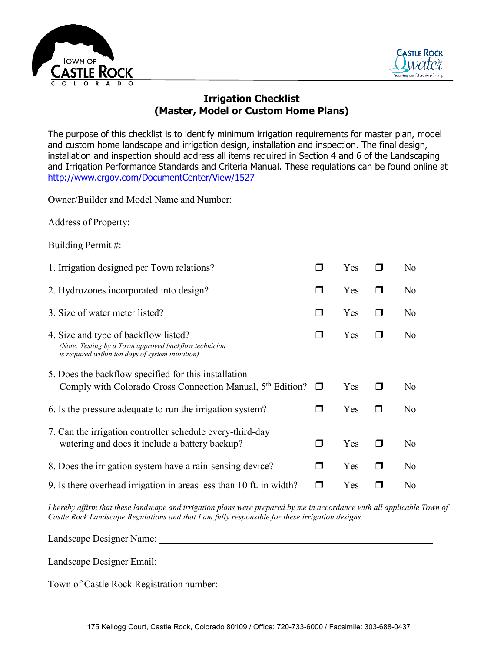



## **Irrigation Checklist (Master, Model or Custom Home Plans)**

The purpose of this checklist is to identify minimum irrigation requirements for master plan, model and custom home landscape and irrigation design, installation and inspection. The final design, installation and inspection should address all items required in Section 4 and 6 of the Landscaping and Irrigation Performance Standards and Criteria Manual. These regulations can be found online at <http://www.crgov.com/DocumentCenter/View/1527>

| Owner/Builder and Model Name and Number:                                                                                                                                                                                       |        |     |        |                |
|--------------------------------------------------------------------------------------------------------------------------------------------------------------------------------------------------------------------------------|--------|-----|--------|----------------|
| Address of Property: No. 1996. The Second Second Second Second Second Second Second Second Second Second Second Second Second Second Second Second Second Second Second Second Second Second Second Second Second Second Secon |        |     |        |                |
|                                                                                                                                                                                                                                |        |     |        |                |
| 1. Irrigation designed per Town relations?                                                                                                                                                                                     | ⊓      | Yes | $\Box$ | N <sub>o</sub> |
| 2. Hydrozones incorporated into design?                                                                                                                                                                                        | $\Box$ | Yes | $\Box$ | N <sub>o</sub> |
| 3. Size of water meter listed?                                                                                                                                                                                                 | $\Box$ | Yes | $\Box$ | N <sub>o</sub> |
| 4. Size and type of backflow listed?<br>(Note: Testing by a Town approved backflow technician<br>is required within ten days of system initiation)                                                                             | ⊓      | Yes | $\Box$ | N <sub>o</sub> |
| 5. Does the backflow specified for this installation<br>Comply with Colorado Cross Connection Manual, $5th$ Edition? $\Box$                                                                                                    |        | Yes | $\Box$ | N <sub>o</sub> |
| 6. Is the pressure adequate to run the irrigation system?                                                                                                                                                                      | $\Box$ | Yes | $\Box$ | No             |
| 7. Can the irrigation controller schedule every-third-day<br>watering and does it include a battery backup?                                                                                                                    | □      | Yes | $\Box$ | N <sub>o</sub> |
| 8. Does the irrigation system have a rain-sensing device?                                                                                                                                                                      | $\Box$ | Yes | $\Box$ | N <sub>o</sub> |
| 9. Is there overhead irrigation in areas less than 10 ft. in width?                                                                                                                                                            | $\Box$ | Yes | П      | No             |

*I hereby affirm that these landscape and irrigation plans were prepared by me in accordance with all applicable Town of Castle Rock Landscape Regulations and that I am fully responsible for these irrigation designs.*

| Landscape Designer Name:                 |  |
|------------------------------------------|--|
| Landscape Designer Email:                |  |
| Town of Castle Rock Registration number: |  |